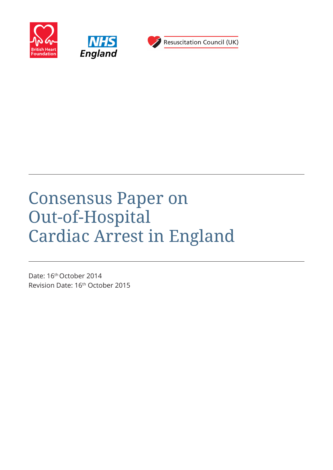





# Consensus Paper on Out-of-Hospital Cardiac Arrest in England

Date: 16<sup>th</sup> October 2014 Revision Date: 16th October 2015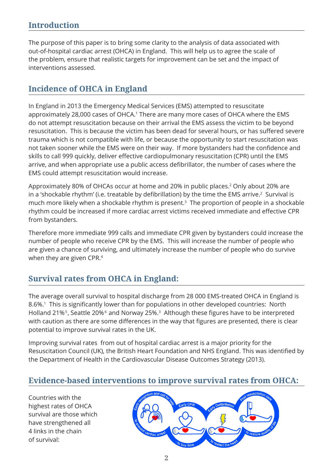The purpose of this paper is to bring some clarity to the analysis of data associated with out-of-hospital cardiac arrest (OHCA) in England. This will help us to agree the scale of the problem, ensure that realistic targets for improvement can be set and the impact of interventions assessed.

## **Incidence of OHCA in England**

In England in 2013 the Emergency Medical Services (EMS) attempted to resuscitate approximately 28,000 cases of OHCA.<sup>1</sup> There are many more cases of OHCA where the EMS do not attempt resuscitation because on their arrival the EMS assess the victim to be beyond resuscitation. This is because the victim has been dead for several hours, or has suffered severe trauma which is not compatible with life, or because the opportunity to start resuscitation was not taken sooner while the EMS were on their way. If more bystanders had the confidence and skills to call 999 quickly, deliver effective cardiopulmonary resuscitation (CPR) until the EMS arrive, and when appropriate use a public access defibrillator, the number of cases where the EMS could attempt resuscitation would increase.

Approximately 80% of OHCAs occur at home and 20% in public places.2 Only about 20% are in a 'shockable rhythm' (i.e. treatable by defibrillation) by the time the EMS arrive.<sup>2</sup> Survival is much more likely when a shockable rhythm is present.<sup>3</sup> The proportion of people in a shockable rhythm could be increased if more cardiac arrest victims received immediate and effective CPR from bystanders.

Therefore more immediate 999 calls and immediate CPR given by bystanders could increase the number of people who receive CPR by the EMS. This will increase the number of people who are given a chance of surviving, and ultimately increase the number of people who do survive when they are given CPR.<sup>4</sup>

## **Survival rates from OHCA in England:**

The average overall survival to hospital discharge from 28 000 EMS-treated OHCA in England is 8.6%.<sup>1</sup> This is significantly lower than for populations in other developed countries: North Holland 21%<sup>5</sup>, Seattle 20%<sup>6</sup> and Norway 25%.<sup>3</sup> Although these figures have to be interpreted with caution as there are some differences in the way that figures are presented, there is clear potential to improve survival rates in the UK.

Improving survival rates from out of hospital cardiac arrest is a major priority for the Resuscitation Council (UK), the British Heart Foundation and NHS England. This was identified by the Department of Health in the Cardiovascular Disease Outcomes Strategy (2013).

## **Evidence-based interventions to improve survival rates from OHCA:**

Countries with the highest rates of OHCA survival are those which have strengthened all 4 links in the chain of survival:

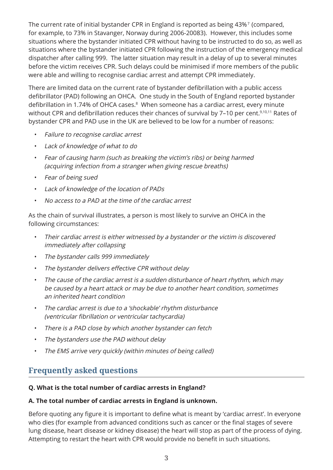The current rate of initial bystander CPR in England is reported as being 43%7 (compared, for example, to 73% in Stavanger, Norway during 2006-20083). However, this includes some situations where the bystander initiated CPR without having to be instructed to do so, as well as situations where the bystander initiated CPR following the instruction of the emergency medical dispatcher after calling 999. The latter situation may result in a delay of up to several minutes before the victim receives CPR. Such delays could be minimised if more members of the public were able and willing to recognise cardiac arrest and attempt CPR immediately.

There are limited data on the current rate of bystander defibrillation with a public access defibrillator (PAD) following an OHCA. One study in the South of England reported bystander defibrillation in 1.74% of OHCA cases.<sup>8</sup> When someone has a cardiac arrest, every minute without CPR and defibrillation reduces their chances of survival by 7-10 per cent.<sup>9,10,11</sup> Rates of bystander CPR and PAD use in the UK are believed to be low for a number of reasons:

- Failure to recognise cardiac arrest
- Lack of knowledge of what to do
- Fear of causing harm (such as breaking the victim's ribs) or being harmed (acquiring infection from a stranger when giving rescue breaths)
- Fear of being sued
- Lack of knowledge of the location of PADs
- No access to a PAD at the time of the cardiac arrest

As the chain of survival illustrates, a person is most likely to survive an OHCA in the following circumstances:

- Their cardiac arrest is either witnessed by a bystander or the victim is discovered immediately after collapsing
- The bystander calls 999 immediately
- The bystander delivers effective CPR without delay
- The cause of the cardiac arrest is a sudden disturbance of heart rhythm, which may be caused by a heart attack or may be due to another heart condition, sometimes an inherited heart condition
- The cardiac arrest is due to a 'shockable' rhythm disturbance (ventricular fibrillation or ventricular tachycardia)
- There is a PAD close by which another bystander can fetch
- The bystanders use the PAD without delay
- The EMS arrive very quickly (within minutes of being called)

## **Frequently asked questions**

#### **Q. What is the total number of cardiac arrests in England?**

#### **A. The total number of cardiac arrests in England is unknown.**

Before quoting any figure it is important to define what is meant by 'cardiac arrest'. In everyone who dies (for example from advanced conditions such as cancer or the final stages of severe lung disease, heart disease or kidney disease) the heart will stop as part of the process of dying. Attempting to restart the heart with CPR would provide no benefit in such situations.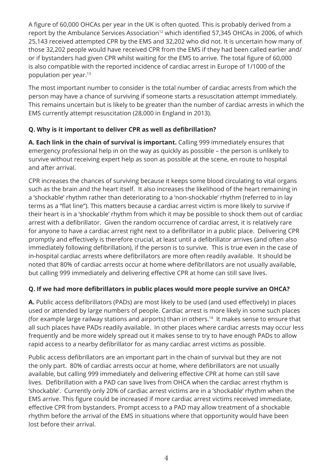A figure of 60,000 OHCAs per year in the UK is often quoted. This is probably derived from a report by the Ambulance Services Association<sup>12</sup> which identified 57,345 OHCAs in 2006, of which 25,143 received attempted CPR by the EMS and 32,202 who did not. It is uncertain how many of those 32,202 people would have received CPR from the EMS if they had been called earlier and/ or if bystanders had given CPR whilst waiting for the EMS to arrive. The total figure of 60,000 is also compatible with the reported incidence of cardiac arrest in Europe of 1/1000 of the population per year.13

The most important number to consider is the total number of cardiac arrests from which the person may have a chance of surviving if someone starts a resuscitation attempt immediately. This remains uncertain but is likely to be greater than the number of cardiac arrests in which the EMS currently attempt resuscitation (28,000 in England in 2013).

### **Q. Why is it important to deliver CPR as well as defibrillation?**

**A. Each link in the chain of survival is important.** Calling 999 immediately ensures that emergency professional help in on the way as quickly as possible – the person is unlikely to survive without receiving expert help as soon as possible at the scene, en route to hospital and after arrival.

CPR increases the chances of surviving because it keeps some blood circulating to vital organs such as the brain and the heart itself. It also increases the likelihood of the heart remaining in a 'shockable' rhythm rather than deteriorating to a 'non-shockable' rhythm (referred to in lay terms as a "flat line"). This matters because a cardiac arrest victim is more likely to survive if their heart is in a 'shockable' rhythm from which it may be possible to shock them out of cardiac arrest with a defibrillator. Given the random occurrence of cardiac arrest, it is relatively rare for anyone to have a cardiac arrest right next to a defibrillator in a public place. Delivering CPR promptly and effectively is therefore crucial, at least until a defibrillator arrives (and often also immediately following defibrillation), if the person is to survive. This is true even in the case of in-hospital cardiac arrests where defibrillators are more often readily available. It should be noted that 80% of cardiac arrests occur at home where defibrillators are not usually available, but calling 999 immediately and delivering effective CPR at home can still save lives.

### **Q. If we had more defibrillators in public places would more people survive an OHCA?**

**A.** Public access defibrillators (PADs) are most likely to be used (and used effectively) in places used or attended by large numbers of people. Cardiac arrest is more likely in some such places (for example large railway stations and airports) than in others.14 It makes sense to ensure that all such places have PADs readily available. In other places where cardiac arrests may occur less frequently and be more widely spread out it makes sense to try to have enough PADs to allow rapid access to a nearby defibrillator for as many cardiac arrest victims as possible.

Public access defibrillators are an important part in the chain of survival but they are not the only part. 80% of cardiac arrests occur at home, where defibrillators are not usually available, but calling 999 immediately and delivering effective CPR at home can still save lives. Defibrillation with a PAD can save lives from OHCA when the cardiac arrest rhythm is 'shockable'. Currently only 20% of cardiac arrest victims are in a 'shockable' rhythm when the EMS arrive. This figure could be increased if more cardiac arrest victims received immediate, effective CPR from bystanders. Prompt access to a PAD may allow treatment of a shockable rhythm before the arrival of the EMS in situations where that opportunity would have been lost before their arrival.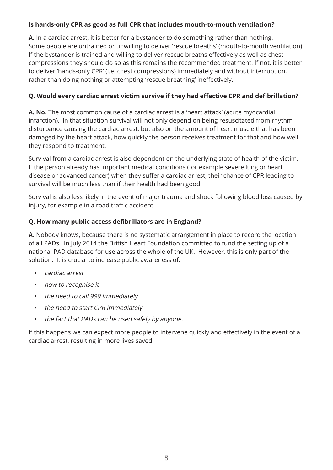#### **Is hands-only CPR as good as full CPR that includes mouth-to-mouth ventilation?**

**A.** In a cardiac arrest, it is better for a bystander to do something rather than nothing. Some people are untrained or unwilling to deliver 'rescue breaths' (mouth-to-mouth ventilation). If the bystander is trained and willing to deliver rescue breaths effectively as well as chest compressions they should do so as this remains the recommended treatment. If not, it is better to deliver 'hands-only CPR' (i.e. chest compressions) immediately and without interruption, rather than doing nothing or attempting 'rescue breathing' ineffectively.

#### **Q. Would every cardiac arrest victim survive if they had effective CPR and defibrillation?**

**A. No.** The most common cause of a cardiac arrest is a 'heart attack' (acute myocardial infarction). In that situation survival will not only depend on being resuscitated from rhythm disturbance causing the cardiac arrest, but also on the amount of heart muscle that has been damaged by the heart attack, how quickly the person receives treatment for that and how well they respond to treatment.

Survival from a cardiac arrest is also dependent on the underlying state of health of the victim. If the person already has important medical conditions (for example severe lung or heart disease or advanced cancer) when they suffer a cardiac arrest, their chance of CPR leading to survival will be much less than if their health had been good.

Survival is also less likely in the event of major trauma and shock following blood loss caused by injury, for example in a road traffic accident.

#### **Q. How many public access defibrillators are in England?**

**A.** Nobody knows, because there is no systematic arrangement in place to record the location of all PADs. In July 2014 the British Heart Foundation committed to fund the setting up of a national PAD database for use across the whole of the UK. However, this is only part of the solution. It is crucial to increase public awareness of:

- cardiac arrest
- how to recognise it
- the need to call 999 immediately
- the need to start CPR immediately
- the fact that PADs can be used safely by anyone.

If this happens we can expect more people to intervene quickly and effectively in the event of a cardiac arrest, resulting in more lives saved.